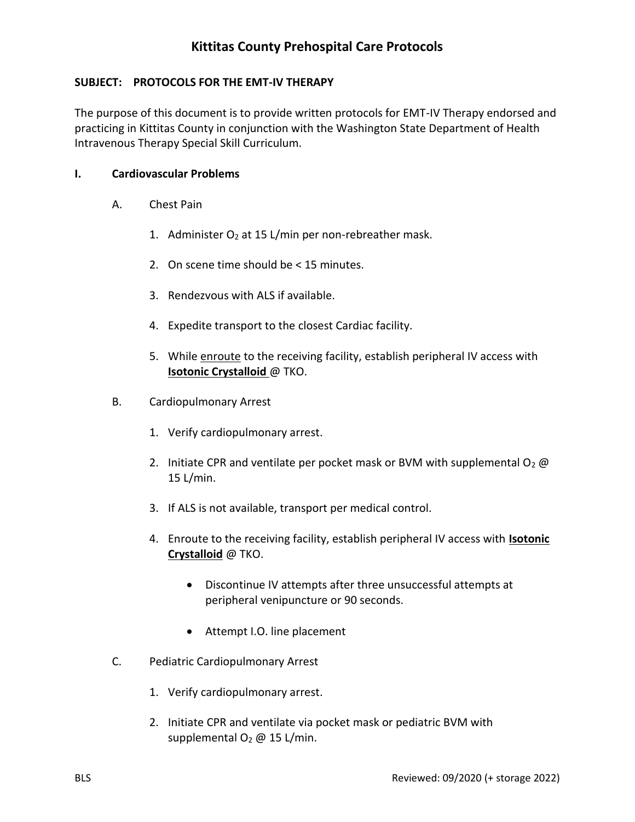### **SUBJECT: PROTOCOLS FOR THE EMT-IV THERAPY**

The purpose of this document is to provide written protocols for EMT-IV Therapy endorsed and practicing in Kittitas County in conjunction with the Washington State Department of Health Intravenous Therapy Special Skill Curriculum.

#### **I. Cardiovascular Problems**

- A. Chest Pain
	- 1. Administer  $O_2$  at 15 L/min per non-rebreather mask.
	- 2. On scene time should be < 15 minutes.
	- 3. Rendezvous with ALS if available.
	- 4. Expedite transport to the closest Cardiac facility.
	- 5. While enroute to the receiving facility, establish peripheral IV access with **Isotonic Crystalloid** @ TKO.
- B. Cardiopulmonary Arrest
	- 1. Verify cardiopulmonary arrest.
	- 2. Initiate CPR and ventilate per pocket mask or BVM with supplemental  $O_2$  @ 15 L/min.
	- 3. If ALS is not available, transport per medical control.
	- 4. Enroute to the receiving facility, establish peripheral IV access with **Isotonic Crystalloid** @ TKO.
		- Discontinue IV attempts after three unsuccessful attempts at peripheral venipuncture or 90 seconds.
		- Attempt I.O. line placement
- C. Pediatric Cardiopulmonary Arrest
	- 1. Verify cardiopulmonary arrest.
	- 2. Initiate CPR and ventilate via pocket mask or pediatric BVM with supplemental  $O_2 \omega$  15 L/min.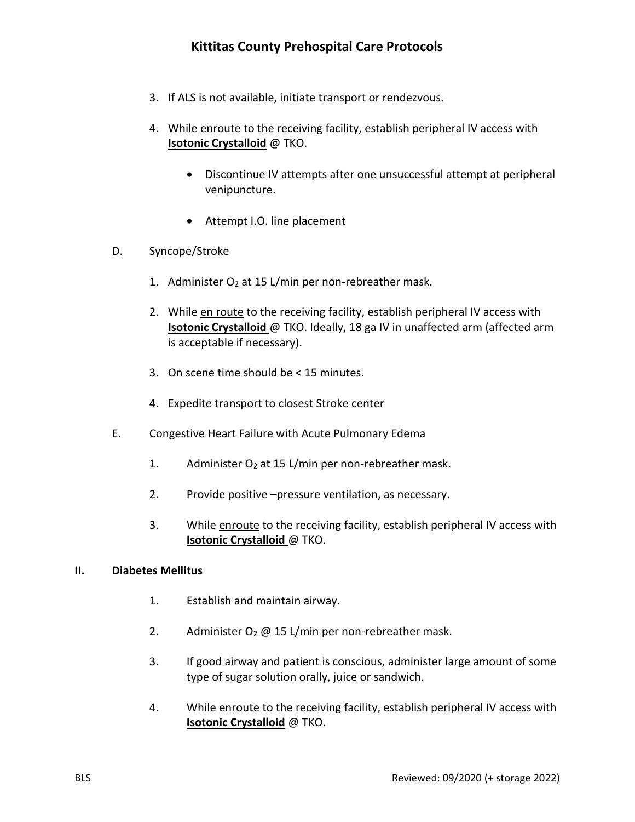- 3. If ALS is not available, initiate transport or rendezvous.
- 4. While enroute to the receiving facility, establish peripheral IV access with **Isotonic Crystalloid** @ TKO.
	- Discontinue IV attempts after one unsuccessful attempt at peripheral venipuncture.
	- Attempt I.O. line placement
- D. Syncope/Stroke
	- 1. Administer  $O_2$  at 15 L/min per non-rebreather mask.
	- 2. While en route to the receiving facility, establish peripheral IV access with **Isotonic Crystalloid** @ TKO. Ideally, 18 ga IV in unaffected arm (affected arm is acceptable if necessary).
	- 3. On scene time should be < 15 minutes.
	- 4. Expedite transport to closest Stroke center
- E. Congestive Heart Failure with Acute Pulmonary Edema
	- 1. Administer  $O_2$  at 15 L/min per non-rebreather mask.
	- 2. Provide positive –pressure ventilation, as necessary.
	- 3. While enroute to the receiving facility, establish peripheral IV access with **Isotonic Crystalloid** @ TKO.

#### **II. Diabetes Mellitus**

- 1. Establish and maintain airway.
- 2. Administer  $O_2 \omega$  15 L/min per non-rebreather mask.
- 3. If good airway and patient is conscious, administer large amount of some type of sugar solution orally, juice or sandwich.
- 4. While enroute to the receiving facility, establish peripheral IV access with **Isotonic Crystalloid** @ TKO.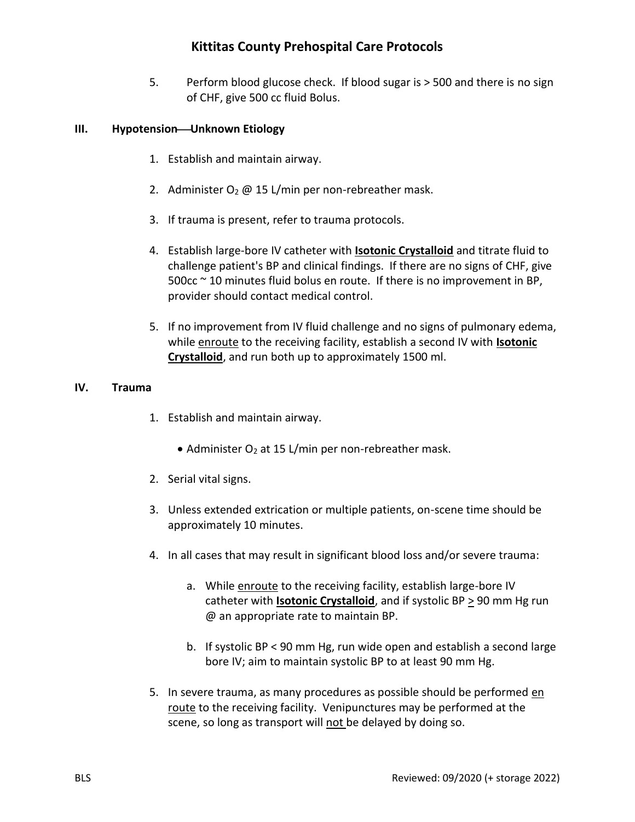5. Perform blood glucose check. If blood sugar is > 500 and there is no sign of CHF, give 500 cc fluid Bolus.

### **III. Hypotension**—Unknown Etiology

- 1. Establish and maintain airway.
- 2. Administer  $O_2 \omega$  15 L/min per non-rebreather mask.
- 3. If trauma is present, refer to trauma protocols.
- 4. Establish large-bore IV catheter with **Isotonic Crystalloid** and titrate fluid to challenge patient's BP and clinical findings. If there are no signs of CHF, give 500cc ~ 10 minutes fluid bolus en route. If there is no improvement in BP, provider should contact medical control.
- 5. If no improvement from IV fluid challenge and no signs of pulmonary edema, while enroute to the receiving facility, establish a second IV with **Isotonic Crystalloid**, and run both up to approximately 1500 ml.

### **IV. Trauma**

- 1. Establish and maintain airway.
	- Administer  $O_2$  at 15 L/min per non-rebreather mask.
- 2. Serial vital signs.
- 3. Unless extended extrication or multiple patients, on-scene time should be approximately 10 minutes.
- 4. In all cases that may result in significant blood loss and/or severe trauma:
	- a. While enroute to the receiving facility, establish large-bore IV catheter with **Isotonic Crystalloid**, and if systolic BP  $\geq$  90 mm Hg run @ an appropriate rate to maintain BP.
	- b. If systolic BP < 90 mm Hg, run wide open and establish a second large bore IV; aim to maintain systolic BP to at least 90 mm Hg.
- 5. In severe trauma, as many procedures as possible should be performed en route to the receiving facility. Venipunctures may be performed at the scene, so long as transport will not be delayed by doing so.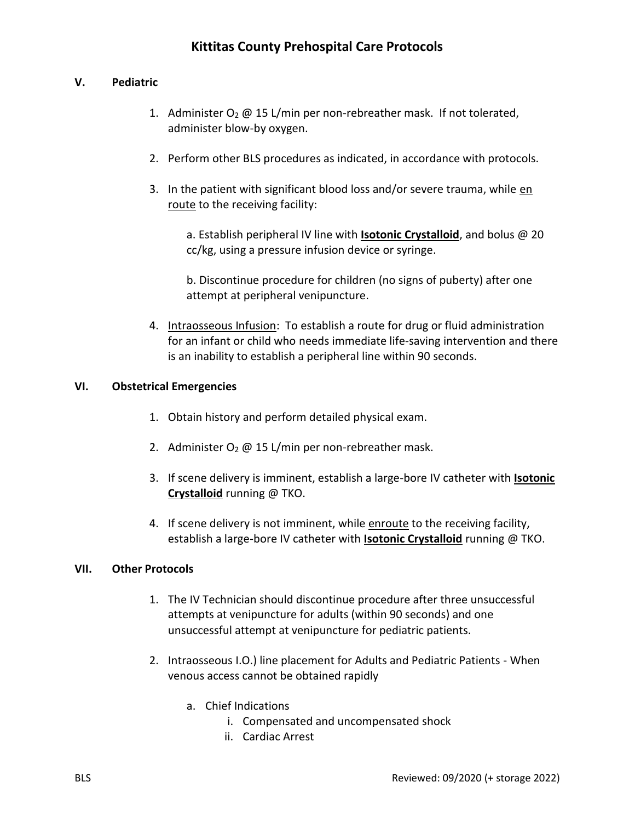### **V. Pediatric**

- 1. Administer  $O_2 \omega$  15 L/min per non-rebreather mask. If not tolerated, administer blow-by oxygen.
- 2. Perform other BLS procedures as indicated, in accordance with protocols.
- 3. In the patient with significant blood loss and/or severe trauma, while en route to the receiving facility:

a. Establish peripheral IV line with **Isotonic Crystalloid**, and bolus @ 20 cc/kg, using a pressure infusion device or syringe.

b. Discontinue procedure for children (no signs of puberty) after one attempt at peripheral venipuncture.

4. Intraosseous Infusion: To establish a route for drug or fluid administration for an infant or child who needs immediate life-saving intervention and there is an inability to establish a peripheral line within 90 seconds.

### **VI. Obstetrical Emergencies**

- 1. Obtain history and perform detailed physical exam.
- 2. Administer  $O_2 \omega$  15 L/min per non-rebreather mask.
- 3. If scene delivery is imminent, establish a large-bore IV catheter with **Isotonic Crystalloid** running @ TKO.
- 4. If scene delivery is not imminent, while enroute to the receiving facility, establish a large-bore IV catheter with **Isotonic Crystalloid** running @ TKO.

#### **VII. Other Protocols**

- 1. The IV Technician should discontinue procedure after three unsuccessful attempts at venipuncture for adults (within 90 seconds) and one unsuccessful attempt at venipuncture for pediatric patients.
- 2. Intraosseous I.O.) line placement for Adults and Pediatric Patients When venous access cannot be obtained rapidly
	- a. Chief Indications
		- i. Compensated and uncompensated shock
		- ii. Cardiac Arrest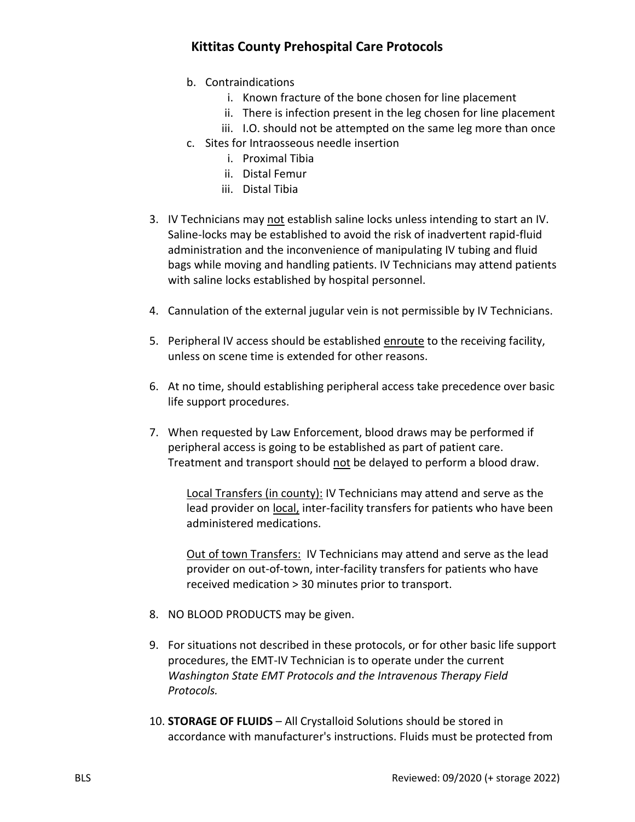- b. Contraindications
	- i. Known fracture of the bone chosen for line placement
	- ii. There is infection present in the leg chosen for line placement
	- iii. I.O. should not be attempted on the same leg more than once
- c. Sites for Intraosseous needle insertion
	- i. Proximal Tibia
	- ii. Distal Femur
	- iii. Distal Tibia
- 3. IV Technicians may not establish saline locks unless intending to start an IV. Saline-locks may be established to avoid the risk of inadvertent rapid-fluid administration and the inconvenience of manipulating IV tubing and fluid bags while moving and handling patients. IV Technicians may attend patients with saline locks established by hospital personnel.
- 4. Cannulation of the external jugular vein is not permissible by IV Technicians.
- 5. Peripheral IV access should be established enroute to the receiving facility, unless on scene time is extended for other reasons.
- 6. At no time, should establishing peripheral access take precedence over basic life support procedures.
- 7. When requested by Law Enforcement, blood draws may be performed if peripheral access is going to be established as part of patient care. Treatment and transport should not be delayed to perform a blood draw.

Local Transfers (in county): IV Technicians may attend and serve as the lead provider on local, inter-facility transfers for patients who have been administered medications.

Out of town Transfers: IV Technicians may attend and serve as the lead provider on out-of-town, inter-facility transfers for patients who have received medication > 30 minutes prior to transport.

- 8. NO BLOOD PRODUCTS may be given.
- 9. For situations not described in these protocols, or for other basic life support procedures, the EMT-IV Technician is to operate under the current *Washington State EMT Protocols and the Intravenous Therapy Field Protocols.*
- 10. **STORAGE OF FLUIDS** All Crystalloid Solutions should be stored in accordance with manufacturer's instructions. Fluids must be protected from